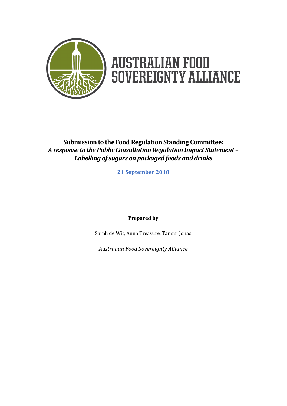

# **Submission to the FoodRegulation Standing Committee:** *A response to the Public ConsultationRegulation Impact Statement – Labelling of sugars on packaged foods and drinks*

**21 September 2018**

**Prepared by**

Sarah de Wit, Anna Treasure, Tammi Jonas

*Australian Food Sovereignty Alliance*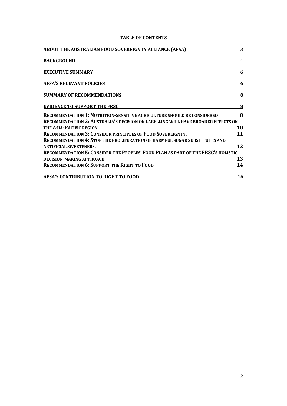#### **TABLE OF CONTENTS**

| <b>ABOUT THE AUSTRALIAN FOOD SOVEREIGNTY ALLIANCE (AFSA)</b>                            | 3  |
|-----------------------------------------------------------------------------------------|----|
| <b>BACKGROUND</b>                                                                       | 4  |
| <b>EXECUTIVE SUMMARY</b>                                                                | 6  |
| <b>AFSA'S RELEVANT POLICIES</b>                                                         | 6  |
| <b>SUMMARY OF RECOMMENDATIONS</b>                                                       | 8  |
| <b>EVIDENCE TO SUPPORT THE FRSC</b>                                                     | 8  |
| <b>RECOMMENDATION 1: NUTRITION-SENSITIVE AGRICULTURE SHOULD BE CONSIDERED</b>           | 8  |
| <b>RECOMMENDATION 2: AUSTRALIA'S DECISION ON LABELLING WILL HAVE BROADER EFFECTS ON</b> |    |
| THE ASIA-PACIFIC REGION.                                                                | 10 |
| <b>RECOMMENDATION 3: CONSIDER PRINCIPLES OF FOOD SOVEREIGNTY.</b>                       | 11 |
| <b>RECOMMENDATION 4: STOP THE PROLIFERATION OF HARMFUL SUGAR SUBSTITUTES AND</b>        |    |
| <b>ARTIFICIAL SWEETENERS.</b>                                                           | 12 |
| <b>RECOMMENDATION 5: CONSIDER THE PEOPLES' FOOD PLAN AS PART OF THE FRSC'S HOLISTIC</b> |    |
| <b>DECISION-MAKING APPROACH</b>                                                         | 13 |
| <b>RECOMMENDATION 6: SUPPORT THE RIGHT TO FOOD</b>                                      | 14 |
| <b>AFSA'S CONTRIBUTION TO RIGHT TO FOOD</b>                                             | 16 |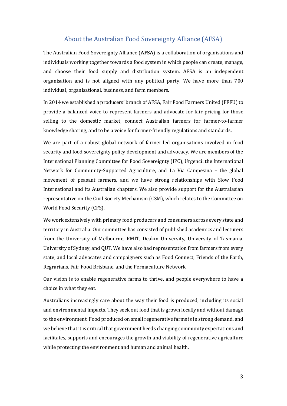### About the Australian Food Sovereignty Alliance (AFSA)

The Australian Food Sovereignty Alliance (**AFSA**) is a collaboration of organisations and individuals working together towards a food system in which people can create, manage, and choose their food supply and distribution system. AFSA is an independent organisation and is not aligned with any political party. We have more than 700 individual, organisational, business, and farm members.

In 2014 we established a producers' branch of AFSA, Fair Food Farmers United (FFFU) to provide a balanced voice to represent farmers and advocate for fair pricing for those selling to the domestic market, connect Australian farmers for farmer-to-farmer knowledge sharing, and to be a voice for farmer-friendly regulations and standards.

We are part of a robust global network of farmer-led organisations involved in food security and food sovereignty policy development and advocacy. We are members of the International Planning Committee for Food Sovereignty (IPC), Urgenci: the International Network for Community-Supported Agriculture, and La Via Campesina – the global movement of peasant farmers, and we have strong relationships with Slow Food International and its Australian chapters. We also provide support for the Australasian representative on the Civil Society Mechanism (CSM), which relates to the Committee on World Food Security (CFS).

We work extensively with primary food producers and consumers across every state and territory in Australia. Our committee has consisted of published academics and lecturers from the University of Melbourne, RMIT, Deakin University, University of Tasmania, University of Sydney, and QUT. We have also had representation from farmers from every state, and local advocates and campaigners such as Food Connect, Friends of the Earth, Regrarians, Fair Food Brisbane, and the Permaculture Network.

Our vision is to enable regenerative farms to thrive, and people everywhere to have a choice in what they eat.

Australians increasingly care about the way their food is produced, including its social and environmental impacts. They seek out food that is grown locally and without damage to the environment. Food produced on small regenerative farms is in strong demand, and we believe that it is critical that government heeds changing community expectations and facilitates, supports and encourages the growth and viability of regenerative agriculture while protecting the environment and human and animal health.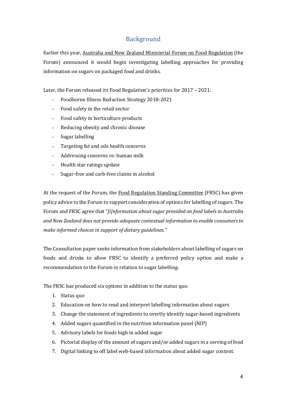# Background

Earlier this year, Australia and New Zealand Ministerial Forum on Food Regulation (the Forum) announced it would begin investigating labelling approaches for providing information on sugars on packaged food and drinks.

Later, the Forum released its Food Regulation's priorities for  $2017 - 2021$ :

- Foodborne Illness Reduction Strategy 2018-2021
- Food safety in the retail sector
- Food safety in horticulture products
- Reducing obesity and chronic disease
- Sugar labelling
- Targeting fat and oils health concerns
- Addressing concerns re: human milk
- Health star ratings update
- Sugar-free and carb-free claims in alcohol

At the request of the Forum, the Food Regulation Standing Committee (FRSC) has given policy advice to the Forum to support consideration of options for labelling of sugars. The Forum and FRSC agree that"*[i]nformation aboutsugar provided on food labels in Australia and New Zealand does not provide adequate contextual information to enable consumers to make informed choices in support of dietary guidelines."*

The Consultation paper seeks information from stakeholders about labelling of sugars on foods and drinks to allow FRSC to identify a preferred policy option and make a recommendation to the Forum in relation to sugar labelling.

The FRSC has produced six options in addition to the status quo:

- 1. Status quo
- 2. Education on how to read and interpret labelling information about sugars
- 3. Change the statement of ingredients to overtly identify sugar-based ingredients
- 4. Added sugars quantified in the nutrition information panel (NIP)
- 5. Advisory labels for foods high in added sugar
- 6. Pictorial display of the amount of sugars and/or added sugars in a serving of food
- 7. Digital linking to off label web-based information about added sugar content.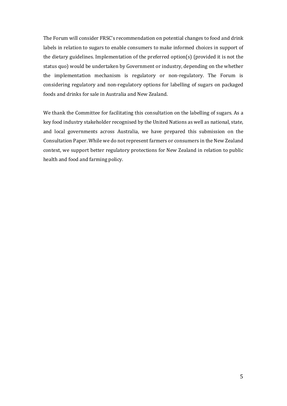The Forum will consider FRSC's recommendation on potential changes to food and drink labels in relation to sugars to enable consumers to make informed choices in support of the dietary guidelines. Implementation of the preferred option(s) (provided it is not the status quo) would be undertaken by Government or industry, depending on the whether the implementation mechanism is regulatory or non-regulatory. The Forum is considering regulatory and non-regulatory options for labelling of sugars on packaged foods and drinks for sale in Australia and New Zealand.

We thank the Committee for facilitating this consultation on the labelling of sugars. As a key food industry stakeholder recognised by the United Nations as well as national, state, and local governments across Australia, we have prepared this submission on the Consultation Paper. While we do not represent farmers or consumers in the New Zealand context, we support better regulatory protections for New Zealand in relation to public health and food and farming policy.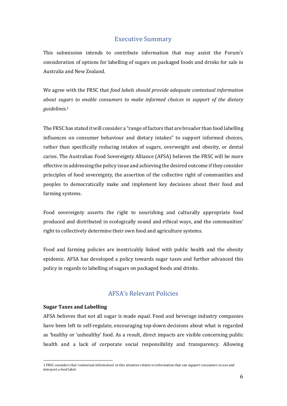### Executive Summary

This submission intends to contribute information that may assist the Forum's consideration of options for labelling of sugars on packaged foods and drinks for sale in Australia and New Zealand.

We agree with the FRSC that *food labels should provide adequate contextual information about sugars to enable consumers to make informed choices in support of the dietary guidelines.1*

The FRSC has stated it will consider a "range of factors that are broader than food labelling influences on consumer behaviour and dietary intakes" to support informed choices, rather than specifically reducing intakes of sugars, overweight and obesity, or dental caries. The Australian Food Sovereignty Alliance (AFSA) believes the FRSC will be more effective in addressing the policy issue and achieving the desired outcome if they consider principles of food sovereignty, the assertion of the collective right of communities and peoples to democratically make and implement key decisions about their food and farming systems.

Food sovereignty asserts the right to nourishing and culturally appropriate food produced and distributed in ecologically sound and ethical ways, and the communities' right to collectively determine their own food and agriculture systems.

Food and farming policies are inextricably linked with public health and the obesity epidemic. AFSA has developed a policy towards sugar taxes and further advanced this policy in regards to labelling of sugars on packaged foods and drinks.

## AFSA's Relevant Policies

#### **Sugar Taxes and Labelling**

 $\overline{a}$ 

AFSA believes that not all sugar is made equal. Food and beverage industry companies have been left to self-regulate, encouraging top-down decisions about what is regarded as 'healthy or 'unhealthy' food. As a result, direct impacts are visible concerning public health and a lack of corporate social responsibility and transparency. Allowing

<sup>1</sup> FRSC considers that 'contextual information' in this situation relates to information that can support consumers to use and interpret a food label.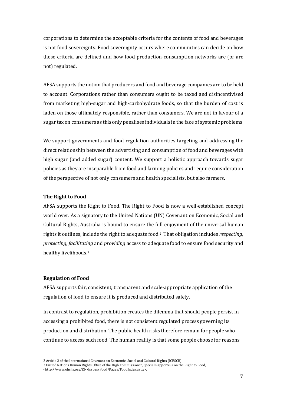corporations to determine the acceptable criteria for the contents of food and beverages is not food sovereignty. Food sovereignty occurs where communities can decide on how these criteria are defined and how food production-consumption networks are (or are not) regulated. 

AFSA supports the notion that producers and food and beverage companies are to be held to account. Corporations rather than consumers ought to be taxed and disincentivised from marketing high-sugar and high-carbohydrate foods, so that the burden of cost is laden on those ultimately responsible, rather than consumers. We are not in favour of a sugar tax on consumers as this only penalises individuals in the face of systemic problems.

We support governments and food regulation authorities targeting and addressing the direct relationship between the advertising and consumption of food and beverages with high sugar (and added sugar) content. We support a holistic approach towards sugar policies as they are inseparable from food and farming policies and require consideration of the perspective of not only consumers and health specialists, but also farmers.

#### **The Right to Food**

AFSA supports the Right to Food. The Right to Food is now a well-established concept world over. As a signatory to the United Nations (UN) Covenant on Economic, Social and Cultural Rights, Australia is bound to ensure the full enjoyment of the universal human rights it outlines, include the right to adequate food.2 That obligation includes *respecting*, *protecting*, *facilitating* and *providing* access to adequate food to ensure food security and healthy livelihoods. 3

#### **Regulation of Food**

 $\overline{a}$ 

AFSA supports fair, consistent, transparent and scale-appropriate application of the regulation of food to ensure it is produced and distributed safely.

In contrast to regulation, prohibition creates the dilemma that should people persist in accessing a prohibited food, there is not consistent regulated process governing its production and distribution. The public health risks therefore remain for people who continue to access such food. The human reality is that some people choose for reasons

<sup>2</sup> Article 2 of the International Covenant on Economic, Social and Cultural Rights (ICESCR).

<sup>3</sup> United Nations Human Rights Office of the High Commissioner, Special Rapporteur on the Right to Food, <http://www.ohchr.org/EN/Issues/Food/Pages/FoodIndex.aspx>.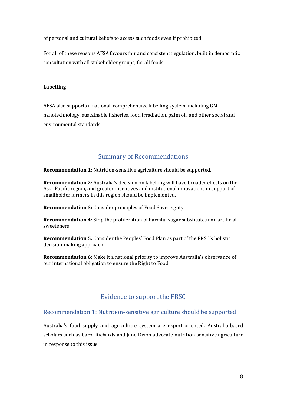of personal and cultural beliefs to access such foods even if prohibited.

For all of these reasons AFSA favours fair and consistent regulation, built in democratic consultation with all stakeholder groups, for all foods.

#### **Labelling**

AFSA also supports a national, comprehensive labelling system, including GM, nanotechnology, sustainable fisheries, food irradiation, palm oil, and other social and environmental standards.

### Summary of Recommendations

**Recommendation 1:** Nutrition-sensitive agriculture should be supported.

**Recommendation 2:** Australia's decision on labelling will have broader effects on the Asia-Pacific region, and greater incentives and institutional innovations in support of smallholder farmers in this region should be implemented.

**Recommendation 3:** Consider principles of Food Sovereignty.

**Recommendation 4:** Stop the proliferation of harmful sugar substitutes and artificial sweeteners.

**Recommendation 5:** Consider the Peoples' Food Plan as part of the FRSC's holistic decision-making approach

**Recommendation 6:** Make it a national priority to improve Australia's observance of our international obligation to ensure the Right to Food.

# Evidence to support the FRSC

#### Recommendation 1: Nutrition-sensitive agriculture should be supported

Australia's food supply and agriculture system are export-oriented. Australia-based scholars such as Carol Richards and Jane Dixon advocate nutrition-sensitive agriculture in response to this issue.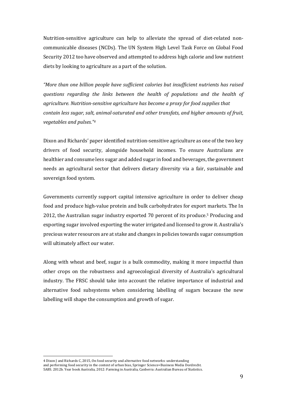Nutrition-sensitive agriculture can help to alleviate the spread of diet-related noncommunicable diseases (NCDs). The UN System High Level Task Force on Global Food Security 2012 too have observed and attempted to address high calorie and low nutrient diets by looking to agriculture as a part of the solution.

*"More than one billion people have sufficient calories but insufficient nutrients has raised questions regarding the links between the health of populations and the health of agriculture. Nutrition-sensitive agriculture has become a proxy for food supplies that contain less sugar, salt, animal-saturated and other transfats, and higher amounts of fruit, vegetables and pulses."4*

Dixon and Richards' paper identified nutrition-sensitive agriculture as one of the two key drivers of food security, alongside household incomes. To ensure Australians are healthier and consume less sugar and added sugar in food and beverages, the government needs an agricultural sector that delivers dietary diversity via a fair, sustainable and sovereign food system.

Governments currently support capital intensive agriculture in order to deliver cheap food and produce high-value protein and bulk carbohydrates for export markets. The In 2012, the Australian sugar industry exported 70 percent of its produce.5 Producing and exporting sugar involved exporting the water irrigated and licensed to grow it. Australia's precious water resources are at stake and changes in policies towards sugar consumption will ultimately affect our water.

Along with wheat and beef, sugar is a bulk commodity, making it more impactful than other crops on the robustness and agroecological diversity of Australia's agricultural industry. The FRSC should take into account the relative importance of industrial and alternative food subsystems when considering labelling of sugars because the new labelling will shape the consumption and growth of sugar.

 $\overline{a}$ 

<sup>4</sup> Dixon J and Richards C, 2015, On food security and alternative food networks: understanding and performing food security in the context of urban bias, Springer Science+Business Media Dordrecht. 5ABS. 2012b. Year book Australia, 2012: Farming in Australia, Canberra: Australian Bureau of Statistics.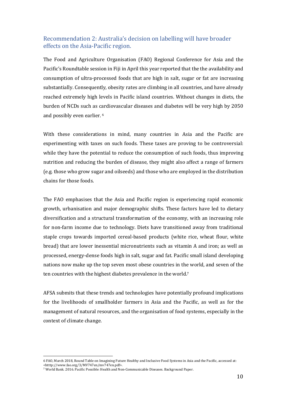### Recommendation 2: Australia's decision on labelling will have broader effects on the Asia-Pacific region.

The Food and Agriculture Organisation (FAO) Regional Conference for Asia and the Pacific's Roundtable session in Fiji in April this year reported that the the availability and consumption of ultra-processed foods that are high in salt, sugar or fat are increasing substantially. Consequently, obesity rates are climbing in all countries, and have already reached extremely high levels in Pacific island countries. Without changes in diets, the burden of NCDs such as cardiovascular diseases and diabetes will be very high by 2050 and possibly even earlier. <sup>6</sup>

With these considerations in mind, many countries in Asia and the Pacific are experimenting with taxes on such foods. These taxes are proving to be controversial: while they have the potential to reduce the consumption of such foods, thus improving nutrition and reducing the burden of disease, they might also affect a range of farmers (e.g. those who grow sugar and oilseeds) and those who are employed in the distribution chains for those foods.

The FAO emphasises that the Asia and Pacific region is experiencing rapid economic growth, urbanisation and major demographic shifts. These factors have led to dietary diversification and a structural transformation of the economy, with an increasing role for non-farm income due to technology. Diets have transitioned away from traditional staple crops towards imported cereal-based products (white rice, wheat flour, white bread) that are lower inessential micronutrients such as vitamin A and iron; as well as processed, energy-dense foods high in salt, sugar and fat. Pacific small island developing nations now make up the top seven most obese countries in the world, and seven of the ten countries with the highest diabetes prevalence in the world.<sup>7</sup>

AFSA submits that these trends and technologies have potentially profound implications for the livelihoods of smallholder farmers in Asia and the Pacific, as well as for the management of natural resources, and the organisation of food systems, especially in the context of climate change.

 $\overline{a}$ 

<sup>6</sup> FAO, March 2018, Round Table on Imagining Future Healthy and Inclusive Food Systems in Asia and the Pacific, accessed at: <htttp://www.fao.org/3/MV747en/mv747en.pdf>.

<sup>&</sup>lt;sup>7</sup> World Bank. 2016. Pacific Possible: Health and Non-Communicable Diseases. Background Paper.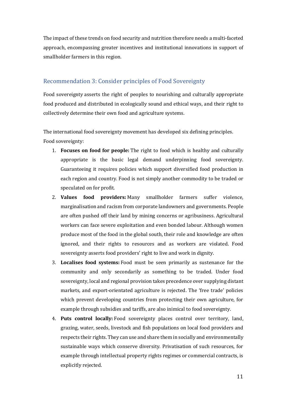The impact of these trends on food security and nutrition therefore needs a multi-faceted approach, encompassing greater incentives and institutional innovations in support of smallholder farmers in this region.

### Recommendation 3: Consider principles of Food Sovereignty

Food sovereignty asserts the right of peoples to nourishing and culturally appropriate food produced and distributed in ecologically sound and ethical ways, and their right to collectively determine their own food and agriculture systems.

The international food sovereignty movement has developed six defining principles. Food sovereignty:

- 1. **Focuses on food for people:** The right to food which is healthy and culturally appropriate is the basic legal demand underpinning food sovereignty. Guaranteeing it requires policies which support diversified food production in each region and country. Food is not simply another commodity to be traded or speculated on for profit.
- 2. **Values food providers:** Many smallholder farmers suffer violence, marginalisation and racism from corporate landowners and governments. People are often pushed off their land by mining concerns or agribusiness. Agricultural workers can face severe exploitation and even bonded labour. Although women produce most of the food in the global south, their role and knowledge are often ignored, and their rights to resources and as workers are violated. Food sovereignty asserts food providers' right to live and work in dignity.
- 3. **Localises food systems:** Food must be seen primarily as sustenance for the community and only secondarily as something to be traded. Under food sovereignty, local and regional provision takes precedence over supplying distant markets, and export-orientated agriculture is rejected. The 'free trade' policies which prevent developing countries from protecting their own agriculture, for example through subsidies and tariffs, are also inimical to food sovereignty.
- 4. **Puts control locally:** Food sovereignty places control over territory, land, grazing, water, seeds, livestock and fish populations on local food providers and respects their rights. They can use and share them in socially and environmentally sustainable ways which conserve diversity. Privatisation of such resources, for example through intellectual property rights regimes or commercial contracts, is explicitly rejected.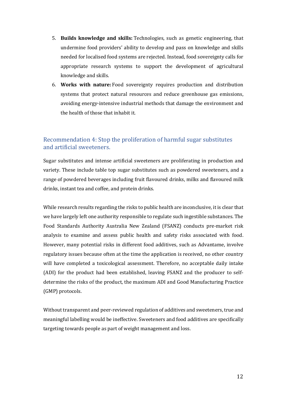- 5. **Builds knowledge and skills:** Technologies, such as genetic engineering, that undermine food providers' ability to develop and pass on knowledge and skills needed for localised food systems are rejected. Instead, food sovereignty calls for appropriate research systems to support the development of agricultural knowledge and skills.
- 6. **Works with nature:** Food sovereignty requires production and distribution systems that protect natural resources and reduce greenhouse gas emissions, avoiding energy-intensive industrial methods that damage the environment and the health of those that inhabit it.

## Recommendation 4: Stop the proliferation of harmful sugar substitutes and artificial sweeteners.

Sugar substitutes and intense artificial sweeteners are proliferating in production and variety. These include table top sugar substitutes such as powdered sweeteners, and a range of powdered beverages including fruit flavoured drinks, milks and flavoured milk drinks, instant tea and coffee, and protein drinks.

While research results regarding the risks to public health are inconclusive, it is clear that we have largely left one authority responsible to regulate such ingestible substances. The Food Standards Authority Australia New Zealand (FSANZ) conducts pre-market risk analysis to examine and assess public health and safety risks associated with food. However, many potential risks in different food additives, such as Advantame, involve regulatory issues because often at the time the application is received, no other country will have completed a toxicological assessment. Therefore, no acceptable daily intake (ADI) for the product had been established, leaving FSANZ and the producer to selfdetermine the risks of the product, the maximum ADI and Good Manufacturing Practice (GMP) protocols.

Without transparent and peer-reviewed regulation of additives and sweeteners, true and meaningful labelling would be ineffective. Sweeteners and food additives are specifically targeting towards people as part of weight management and loss.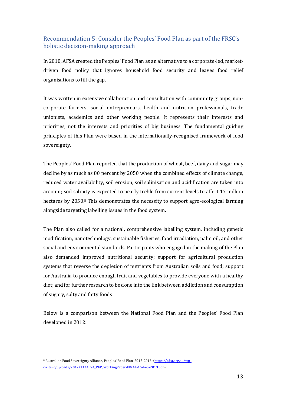### Recommendation 5: Consider the Peoples' Food Plan as part of the FRSC's holistic decision-making approach

In 2010, AFSA created the Peoples' Food Plan as an alternative to a corporate-led, marketdriven food policy that ignores household food security and leaves food relief organisations to fill the gap.

It was written in extensive collaboration and consultation with community groups, noncorporate farmers, social entrepreneurs, health and nutrition professionals, trade unionists, academics and other working people. It represents their interests and priorities, not the interests and priorities of big business. The fundamental guiding principles of this Plan were based in the internationally-recognised framework of food sovereignty.

The Peoples' Food Plan reported that the production of wheat, beef, dairy and sugar may decline by as much as 80 percent by 2050 when the combined effects of climate change, reduced water availability, soil erosion, soil salinisation and acidification are taken into account; soil salinity is expected to nearly treble from current levels to affect 17 million hectares by 2050.<sup>8</sup> This demonstrates the necessity to support agro-ecological farming alongside targeting labelling issues in the food system.

The Plan also called for a national, comprehensive labelling system, including genetic modification, nanotechnology, sustainable fisheries, food irradiation, palm oil, and other social and environmental standards. Participants who engaged in the making of the Plan also demanded improved nutritional security; support for agricultural production systems that reverse the depletion of nutrients from Australian soils and food; support for Australia to produce enough fruit and vegetables to provide everyone with a healthy diet; and for further research to be done into the link between addiction and consumption of sugary, salty and fatty foods

Below is a comparison between the National Food Plan and the Peoples' Food Plan developed in 2012:

 $\overline{a}$ 8 Australian Food Sovereignty Alliance, Peoples' Food Plan, 2012-2013 <https://afsa.org.au/wpcontent/uploads/2012/11/AFSA\_PFP\_WorkingPaper-FINAL-15-Feb-2013.pdf>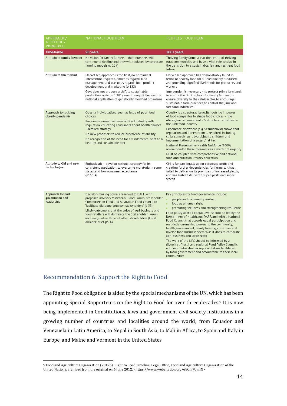| APPROACH/<br>ATTITUDE /<br>PRINCIPLE             | <b>NATIONAL FOOD PLAN</b>                                                                                                                                                                                                                                                                                                                                                                                    | <b>PEOPLES' FOOD PLAN</b>                                                                                                                                                                                                                                                                                                                                                                                                                                                                                                                                                                                                                                                                                                                                             |
|--------------------------------------------------|--------------------------------------------------------------------------------------------------------------------------------------------------------------------------------------------------------------------------------------------------------------------------------------------------------------------------------------------------------------------------------------------------------------|-----------------------------------------------------------------------------------------------------------------------------------------------------------------------------------------------------------------------------------------------------------------------------------------------------------------------------------------------------------------------------------------------------------------------------------------------------------------------------------------------------------------------------------------------------------------------------------------------------------------------------------------------------------------------------------------------------------------------------------------------------------------------|
| <b>Time-frame</b>                                | 20 years                                                                                                                                                                                                                                                                                                                                                                                                     | $100+$ years                                                                                                                                                                                                                                                                                                                                                                                                                                                                                                                                                                                                                                                                                                                                                          |
| <b>Attitude to family farmers</b>                | No vision for family farmers - their numbers will<br>continue to decline and they will replaced by corporate<br>farming models (p 159)                                                                                                                                                                                                                                                                       | Thriving family farms are at the centre of thriving<br>rural communities, and have a vital role to play in<br>the transition to a sustainable, fair and resilient food<br>future                                                                                                                                                                                                                                                                                                                                                                                                                                                                                                                                                                                      |
| Attitude to the market                           | Market-led approach is the best, no or minimal<br>intervention required, either as regards land<br>management and use, or as regards food product<br>development and marketing (p 133)                                                                                                                                                                                                                       | Market-led approach has demonstrably failed in<br>terms of healthy food for all, sustainably produced,<br>and providing dignified livelihoods for producers and<br>workers                                                                                                                                                                                                                                                                                                                                                                                                                                                                                                                                                                                            |
|                                                  | Govt does not propose a shift to sustainable<br>production systems (p201), even though it favours the<br>national application of genetically modified organisms                                                                                                                                                                                                                                              | Intervention is necessary - to protect prime farmland,<br>to ensure the right to farm for family farmers, to<br>ensure diversity in the retail sector, to encourage<br>sustainable farm practices, to control the junk and<br>fast food industries                                                                                                                                                                                                                                                                                                                                                                                                                                                                                                                    |
| Approach to tackling<br>obesity pandemic         | Obesity individualised, seen as issue of 'poor food<br>choices'<br>Business-as-usual, reliance on food industry self-<br>regulation, educating consumers about health choices<br>- a failed strategy<br>No new proposals to reduce prevalence of obesity<br>No recognition of the need for a fundamental shift to a<br>healthy and sustainable diet                                                          | Obesity is a structural issue, its roots lie in power<br>of food companies to shape food choices - 'the<br>obesogenic environment - & structural subsidies to<br>the junk food industry<br>Experience elsewhere (e.g. Scandanavia) shows that<br>regulation and intervention is required, including<br>strict controls on advertising to children, and<br>implementation of a sugar / fat tax<br>National Preventative Health Taskforce (2009)                                                                                                                                                                                                                                                                                                                        |
|                                                  |                                                                                                                                                                                                                                                                                                                                                                                                              | recommended these measures as a matter of urgency<br>Must be coupled with comprehensive and national<br>food and nutrition literacy education                                                                                                                                                                                                                                                                                                                                                                                                                                                                                                                                                                                                                         |
| Attitude to GM and new<br>technologies           | Enthusiastic - develop national strategy for its<br>consistent application, to overcome moratoria in some<br>states, and low consumer acceptance<br>$(p153-4)$                                                                                                                                                                                                                                               | GM is fundamentally about corporate profit and<br>creating further dependencies for farmers. It has<br>failed to deliver on its promises of increased yields,<br>and has instead delivered super-pests and super-<br>weeds                                                                                                                                                                                                                                                                                                                                                                                                                                                                                                                                            |
| Approach to food<br>governance and<br>leadership | Decision-making powers reserved to DAFF, with<br>proposed advisory Ministerial Food Forum, Stakeholder<br>Committee on Food and Australian Food Council to<br>'facilitate dialogue between stakeholders' (p 53)<br>Likely outcome is that the voice of agri-business and<br>food retailers will dominate the Stakeholder Forum<br>and marginalise those of other stakeholders (Food<br>Alliance brief, p5-6) | Key principles for food governance include:<br>people and community centred<br>food as a human right<br>٠<br>promoting wellness and strengthening resilience<br>Food policy at the Federal level should be led by the<br>Department of Health, not DAFF, and with a National<br>Food Council that accords equal participation and<br>real decision-making powers to the community,<br>health, environment, family farming, consumer and<br>diverse food business sectors, as it does to corporate<br>agri-business and large retail<br>The work of the NFC should be informed by a<br>diversity of local and regional Food Policy Councils<br>with multi-stakeholder representation, facilitated<br>by local government and accountable to their local<br>communities |

### Recommendation 6: Support the Right to Food

 $\overline{a}$ 

The Right to Food obligation is aided by the special mechanisms of the UN, which has been appointing Special Rapporteurs on the Right to Food for over three decades.<sup>9</sup> It is now being implemented in Constitutions, laws and government-civil society institutions in a growing number of countries and localities around the world, from Ecuador and Venezuela in Latin America, to Nepal in South Asia, to Mali in Africa, to Spain and Italy in Europe, and Maine and Vermont in the United States.

<sup>9</sup> Food and Agriculture Organization (2012b), Right to Food Timeline, Legal Office, Food and Agriculture Organization of the United Nations, archived from the original on 6 June 2012. <https://www.webcitation.org/68Cm7UmiN>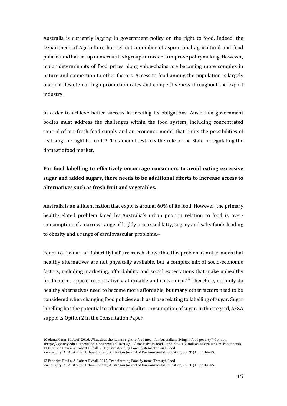Australia is currently lagging in government policy on the right to food. Indeed, the Department of Agriculture has set out a number of aspirational agricultural and food policies and has set up numerous task groups in order to improve policymaking.However, major determinants of food prices along value-chains are becoming more complex in nature and connection to other factors. Access to food among the population is largely unequal despite our high production rates and competitiveness throughout the export industry.

In order to achieve better success in meeting its obligations, Australian government bodies must address the challenges within the food system, including concentrated control of our fresh food supply and an economic model that limits the possibilities of realising the right to food.<sup>10</sup> This model restricts the role of the State in regulating the domestic food market.

**For food labelling to effectively encourage consumers to avoid eating excessive sugar and added sugars, there needs to be additional efforts to increase access to alternatives such as fresh fruit and vegetables.**

Australia is an affluent nation that exports around 60% of its food. However, the primary health-related problem faced by Australia's urban poor in relation to food is overconsumption of a narrow range of highly processed fatty, sugary and salty foods leading to obesity and a range of cardiovascular problems.11

Federico Davila and Robert Dyball's research shows that this problem is not so much that healthy alternatives are not physically available, but a complex mix of socio-economic factors, including marketing, affordability and social expectations that make unhealthy food choices appear comparatively affordable and convenient.12 Therefore, not only do healthy alternatives need to become more affordable, but many other factors need to be considered when changing food policies such as those relating to labelling of sugar. Sugar labelling has the potential to educate and alter consumption of sugar. In that regard, AFSA supports Option 2 in the Consultation Paper.

 $\overline{a}$ 

<sup>10</sup> Alana Mann, 11 April 2016, What does the human right to food mean for Australians living in food poverty?, Opinion, <https://sydney.edu.au/news-opinion/news/2016/04/11/-the-right-to-food---and-how-1-2-million-australians-miss-out.html>. 11 Federico Davila, & Robert Dyball, 2015, Transforming Food Systems Through Food

Sovereignty: An Australian Urban Context, Australian Journal of Environmental Education, vol. 31(1), pp 34–45.

<sup>12</sup> Federico Davila, & Robert Dyball, 2015, Transforming Food Systems Through Food

Sovereignty: An Australian Urban Context, Australian Journal of Environmental Education, vol. 31(1), pp 34–45.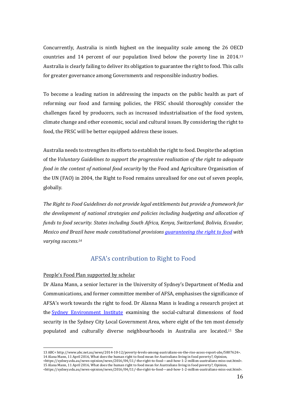Concurrently, Australia is ninth highest on the inequality scale among the 26 OECD countries and 14 percent of our population lived below the poverty line in 2014.13 Australia is clearly failing to deliver its obligation to guarantee the right to food. This calls for greater governance among Governments and responsible industry bodies.

To become a leading nation in addressing the impacts on the public health as part of reforming our food and farming policies, the FRSC should thoroughly consider the challenges faced by producers, such as increased industrialisation of the food system, climate change and other economic, social and cultural issues. By considering the right to food, the FRSC will be better equipped address these issues.

Australia needs to strengthen its efforts to establish the right to food. Despite the adoption of the *Voluntary Guidelines to support the progressive realisation of the right to adequate food in the context of national food security* by the Food and Agriculture Organisation of the UN (FAO) in 2004, the Right to Food remains unrealised for one out of seven people. globally.

The Right to Food Guidelines do not provide legal entitlements but provide a framework for the development of national strategies and policies including budgeting and allocation of funds to food security. States including South Africa, Kenya, Switzerland, Bolivia, Ecuador, *Mexico and Brazil have made constitutional provisions guaranteeing the right to food with* varying success.<sup>14</sup>

### AFSA's contribution to Right to Food

#### People's Food Plan supported by scholar

 $\overline{a}$ 

Dr Alana Mann, a senior lecturer in the University of Sydney's Department of Media and Communications, and former committee member of AFSA, emphasises the significance of AFSA's work towards the right to food. Dr Alanna Mann is leading a research project at the Sydney Environment Institute examining the social-cultural dimensions of food security in the Sydney City Local Government Area, where eight of the ten most densely populated and culturally diverse neighbourhoods in Australia are located.15 She

<sup>13</sup> ABC< http://www.abc.net.au/news/2014-10-12/poverty-levels-among-australians-on-the-rise-acoss-report-abs/5807624>. 14 Alana Mann, 11 April 2016, What does the human right to food mean for Australians living in food poverty?, Opinion,

<sup>&</sup>lt;https://sydney.edu.au/news-opinion/news/2016/04/11/-the-right-to-food---and-how-1-2-million-australians-miss-out.html>. 15 Alana Mann, 11 April 2016, What does the human right to food mean for Australians living in food poverty?, Opinion, <https://sydney.edu.au/news-opinion/news/2016/04/11/-the-right-to-food---and-how-1-2-million-australians-miss-out.html>.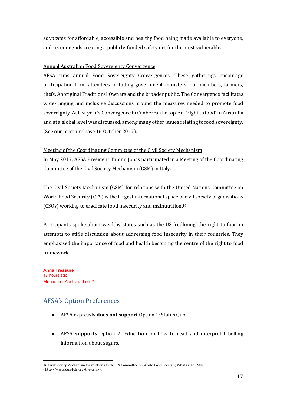advocates for affordable, accessible and healthy food being made available to everyone, and recommends creating a publicly-funded safety net for the most vulnerable.

#### Annual Australian Food Sovereignty Convergence

AFSA runs annual Food Sovereignty Convergences. These gatherings encourage participation from attendees including government ministers, our members, farmers, chefs, Aboriginal Traditional Owners and the broader public. The Convergence facilitates wide-ranging and inclusive discussions around the measures needed to promote food sovereignty. At last year's Convergence in Canberra, the topic of 'right to food' in Australia and at a global level was discussed, among many other issues relating to food sovereignty. (See our media release 16 October 2017).

#### Meeting of the Coordinating Committee of the Civil Society Mechanism

In May 2017, AFSA President Tammi Jonas participated in a Meeting of the Coordinating Committee of the Civil Society Mechanism (CSM) in Italy.

The Civil Society Mechanism (CSM) for relations with the United Nations Committee on World Food Security (CFS) is the largest international space of civil society organisations (CSOs) working to eradicate food insecurity and malnutrition.16

Participants spoke about wealthy states such as the US 'redlining' the right to food in attempts to stifle discussion about addressing food insecurity in their countries. They emphasised the importance of food and health becoming the centre of the right to food framework.

**Anna Treasure** 17 hours ago Mention of Australia here?

 $\overline{a}$ 

# AFSA's Option Preferences

- AFSA expressly **does not support** Option 1: Status Quo.
- AFSA **supports** Option 2: Education on how to read and interpret labelling information about sugars.

<sup>16</sup> Civil Society Mechanism for relations to the UN Committee on World Food Security, What is the CSM? <http://www.csm4cfs.org/the-csm/>.